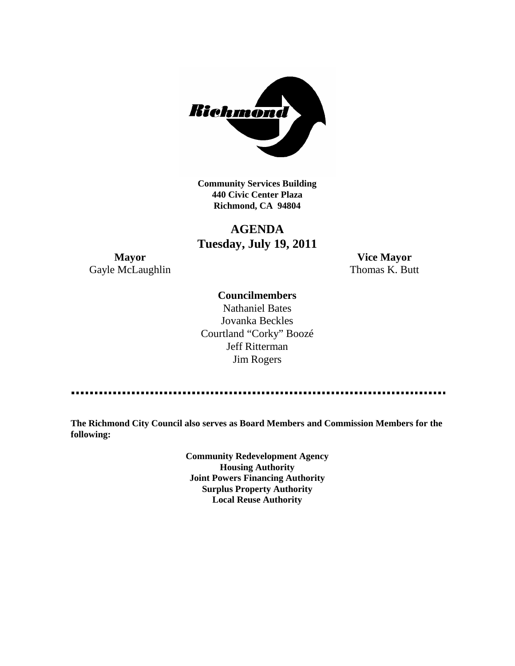

**Community Services Building 440 Civic Center Plaza Richmond, CA 94804**

## **AGENDA Tuesday, July 19, 2011**

**Mayor Vice Mayor** Gayle McLaughlin Thomas K. Butt

### **Councilmembers**

Nathaniel Bates Jovanka Beckles Courtland "Corky" Boozé Jeff Ritterman Jim Rogers

**The Richmond City Council also serves as Board Members and Commission Members for the following:**

> **Community Redevelopment Agency Housing Authority Joint Powers Financing Authority Surplus Property Authority Local Reuse Authority**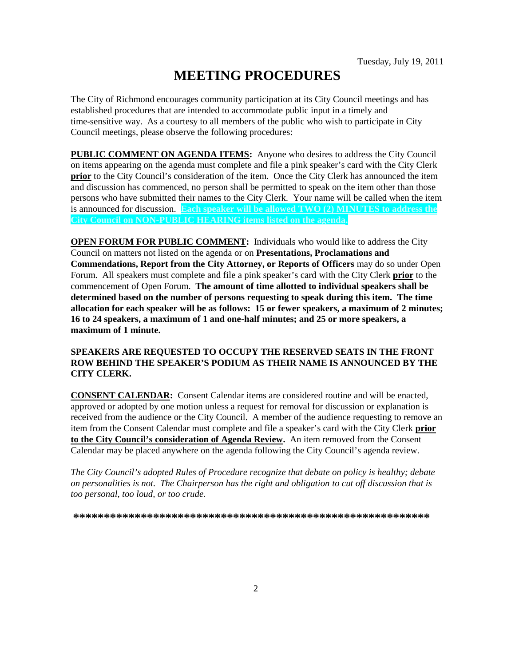# **MEETING PROCEDURES**

The City of Richmond encourages community participation at its City Council meetings and has established procedures that are intended to accommodate public input in a timely and time-sensitive way. As a courtesy to all members of the public who wish to participate in City Council meetings, please observe the following procedures:

**PUBLIC COMMENT ON AGENDA ITEMS:** Anyone who desires to address the City Council on items appearing on the agenda must complete and file a pink speaker's card with the City Clerk **prior** to the City Council's consideration of the item. Once the City Clerk has announced the item and discussion has commenced, no person shall be permitted to speak on the item other than those persons who have submitted their names to the City Clerk. Your name will be called when the item is announced for discussion. **Each speaker will be allowed TWO (2) MINUTES to address the City Council on NON-PUBLIC HEARING items listed on the agenda.**

**OPEN FORUM FOR PUBLIC COMMENT:** Individuals who would like to address the City Council on matters not listed on the agenda or on **Presentations, Proclamations and Commendations, Report from the City Attorney, or Reports of Officers** may do so under Open Forum. All speakers must complete and file a pink speaker's card with the City Clerk **prior** to the commencement of Open Forum. **The amount of time allotted to individual speakers shall be determined based on the number of persons requesting to speak during this item. The time allocation for each speaker will be as follows: 15 or fewer speakers, a maximum of 2 minutes; 16 to 24 speakers, a maximum of 1 and one-half minutes; and 25 or more speakers, a maximum of 1 minute.**

### **SPEAKERS ARE REQUESTED TO OCCUPY THE RESERVED SEATS IN THE FRONT ROW BEHIND THE SPEAKER'S PODIUM AS THEIR NAME IS ANNOUNCED BY THE CITY CLERK.**

**CONSENT CALENDAR:** Consent Calendar items are considered routine and will be enacted, approved or adopted by one motion unless a request for removal for discussion or explanation is received from the audience or the City Council. A member of the audience requesting to remove an item from the Consent Calendar must complete and file a speaker's card with the City Clerk **prior to the City Council's consideration of Agenda Review.** An item removed from the Consent Calendar may be placed anywhere on the agenda following the City Council's agenda review.

*The City Council's adopted Rules of Procedure recognize that debate on policy is healthy; debate on personalities is not. The Chairperson has the right and obligation to cut off discussion that is too personal, too loud, or too crude.*

**\*\*\*\*\*\*\*\*\*\*\*\*\*\*\*\*\*\*\*\*\*\*\*\*\*\*\*\*\*\*\*\*\*\*\*\*\*\*\*\*\*\*\*\*\*\*\*\*\*\*\*\*\*\*\*\*\*\***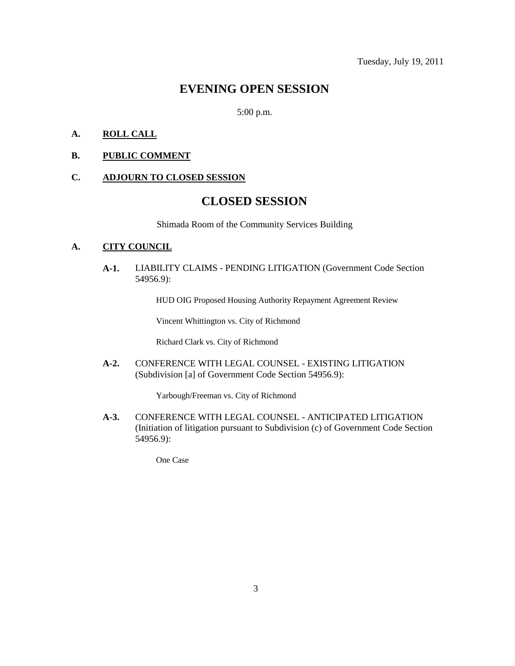### **EVENING OPEN SESSION**

5:00 p.m.

### **A. ROLL CALL**

#### **B. PUBLIC COMMENT**

### **C. ADJOURN TO CLOSED SESSION**

## **CLOSED SESSION**

Shimada Room of the Community Services Building

### **A. CITY COUNCIL**

**A-1.** LIABILITY CLAIMS - PENDING LITIGATION (Government Code Section 54956.9):

HUD OIG Proposed Housing Authority Repayment Agreement Review

Vincent Whittington vs. City of Richmond

Richard Clark vs. City of Richmond

**A-2.** CONFERENCE WITH LEGAL COUNSEL - EXISTING LITIGATION (Subdivision [a] of Government Code Section 54956.9):

Yarbough/Freeman vs. City of Richmond

**A-3.** CONFERENCE WITH LEGAL COUNSEL - ANTICIPATED LITIGATION (Initiation of litigation pursuant to Subdivision (c) of Government Code Section 54956.9):

One Case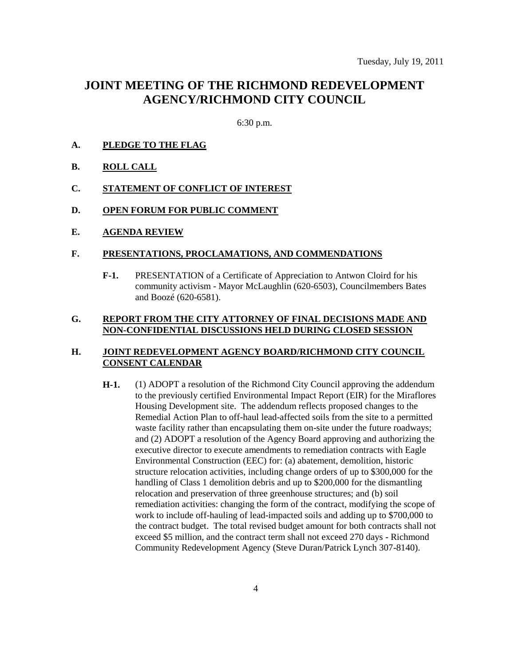### **JOINT MEETING OF THE RICHMOND REDEVELOPMENT AGENCY/RICHMOND CITY COUNCIL**

6:30 p.m.

- **A. PLEDGE TO THE FLAG**
- **B. ROLL CALL**
- **C. STATEMENT OF CONFLICT OF INTEREST**
- **D. OPEN FORUM FOR PUBLIC COMMENT**
- **E. AGENDA REVIEW**

#### **F. PRESENTATIONS, PROCLAMATIONS, AND COMMENDATIONS**

**F-1.** PRESENTATION of a Certificate of Appreciation to Antwon Cloird for his community activism - Mayor McLaughlin (620-6503), Councilmembers Bates and Boozé (620-6581).

### **G. REPORT FROM THE CITY ATTORNEY OF FINAL DECISIONS MADE AND NON-CONFIDENTIAL DISCUSSIONS HELD DURING CLOSED SESSION**

### **H. JOINT REDEVELOPMENT AGENCY BOARD/RICHMOND CITY COUNCIL CONSENT CALENDAR**

**H-1.** (1) ADOPT a resolution of the Richmond City Council approving the addendum to the previously certified Environmental Impact Report (EIR) for the Miraflores Housing Development site. The addendum reflects proposed changes to the Remedial Action Plan to off-haul lead-affected soils from the site to a permitted waste facility rather than encapsulating them on-site under the future roadways; and (2) ADOPT a resolution of the Agency Board approving and authorizing the executive director to execute amendments to remediation contracts with Eagle Environmental Construction (EEC) for: (a) abatement, demolition, historic structure relocation activities, including change orders of up to \$300,000 for the handling of Class 1 demolition debris and up to \$200,000 for the dismantling relocation and preservation of three greenhouse structures; and (b) soil remediation activities: changing the form of the contract, modifying the scope of work to include off-hauling of lead-impacted soils and adding up to \$700,000 to the contract budget. The total revised budget amount for both contracts shall not exceed \$5 million, and the contract term shall not exceed 270 days - Richmond Community Redevelopment Agency (Steve Duran/Patrick Lynch 307-8140).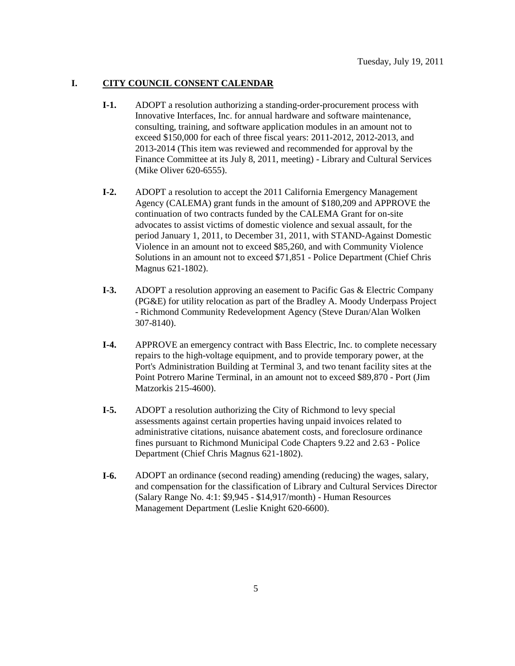### **I. CITY COUNCIL CONSENT CALENDAR**

- **I-1.** ADOPT a resolution authorizing a standing-order-procurement process with Innovative Interfaces, Inc. for annual hardware and software maintenance, consulting, training, and software application modules in an amount not to exceed \$150,000 for each of three fiscal years: 2011-2012, 2012-2013, and 2013-2014 (This item was reviewed and recommended for approval by the Finance Committee at its July 8, 2011, meeting) - Library and Cultural Services (Mike Oliver 620-6555).
- **I-2.** ADOPT a resolution to accept the 2011 California Emergency Management Agency (CALEMA) grant funds in the amount of \$180,209 and APPROVE the continuation of two contracts funded by the CALEMA Grant for on-site advocates to assist victims of domestic violence and sexual assault, for the period January 1, 2011, to December 31, 2011, with STAND-Against Domestic Violence in an amount not to exceed \$85,260, and with Community Violence Solutions in an amount not to exceed \$71,851 - Police Department (Chief Chris Magnus 621-1802).
- **I-3.** ADOPT a resolution approving an easement to Pacific Gas & Electric Company (PG&E) for utility relocation as part of the Bradley A. Moody Underpass Project - Richmond Community Redevelopment Agency (Steve Duran/Alan Wolken 307-8140).
- **I-4.** APPROVE an emergency contract with Bass Electric, Inc. to complete necessary repairs to the high-voltage equipment, and to provide temporary power, at the Port's Administration Building at Terminal 3, and two tenant facility sites at the Point Potrero Marine Terminal, in an amount not to exceed \$89,870 - Port (Jim Matzorkis 215-4600).
- **I-5.** ADOPT a resolution authorizing the City of Richmond to levy special assessments against certain properties having unpaid invoices related to administrative citations, nuisance abatement costs, and foreclosure ordinance fines pursuant to Richmond Municipal Code Chapters 9.22 and 2.63 - Police Department (Chief Chris Magnus 621-1802).
- **I-6.** ADOPT an ordinance (second reading) amending (reducing) the wages, salary, and compensation for the classification of Library and Cultural Services Director (Salary Range No. 4:1: \$9,945 - \$14,917/month) - Human Resources Management Department (Leslie Knight 620-6600).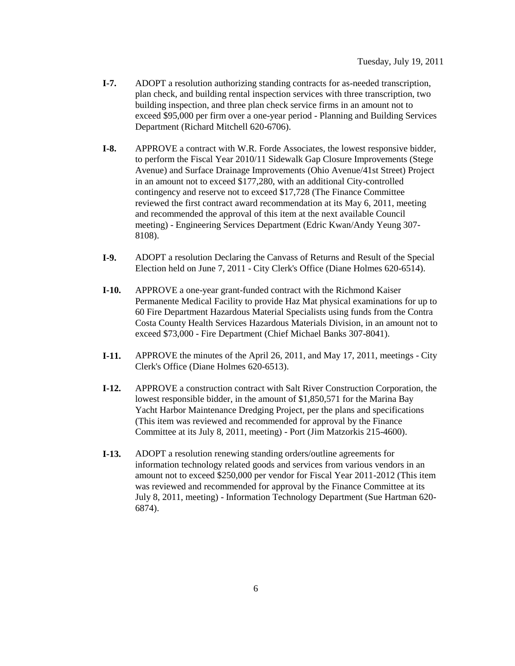- **I-7.** ADOPT a resolution authorizing standing contracts for as-needed transcription, plan check, and building rental inspection services with three transcription, two building inspection, and three plan check service firms in an amount not to exceed \$95,000 per firm over a one-year period - Planning and Building Services Department (Richard Mitchell 620-6706).
- **I-8.** APPROVE a contract with W.R. Forde Associates, the lowest responsive bidder, to perform the Fiscal Year 2010/11 Sidewalk Gap Closure Improvements (Stege Avenue) and Surface Drainage Improvements (Ohio Avenue/41st Street) Project in an amount not to exceed \$177,280, with an additional City-controlled contingency and reserve not to exceed \$17,728 (The Finance Committee reviewed the first contract award recommendation at its May 6, 2011, meeting and recommended the approval of this item at the next available Council meeting) - Engineering Services Department (Edric Kwan/Andy Yeung 307- 8108).
- **I-9.** ADOPT a resolution Declaring the Canvass of Returns and Result of the Special Election held on June 7, 2011 - City Clerk's Office (Diane Holmes 620-6514).
- **I-10.** APPROVE a one-year grant-funded contract with the Richmond Kaiser Permanente Medical Facility to provide Haz Mat physical examinations for up to 60 Fire Department Hazardous Material Specialists using funds from the Contra Costa County Health Services Hazardous Materials Division, in an amount not to exceed \$73,000 - Fire Department (Chief Michael Banks 307-8041).
- **I-11.** APPROVE the minutes of the April 26, 2011, and May 17, 2011, meetings City Clerk's Office (Diane Holmes 620-6513).
- **I-12.** APPROVE a construction contract with Salt River Construction Corporation, the lowest responsible bidder, in the amount of \$1,850,571 for the Marina Bay Yacht Harbor Maintenance Dredging Project, per the plans and specifications (This item was reviewed and recommended for approval by the Finance Committee at its July 8, 2011, meeting) - Port (Jim Matzorkis 215-4600).
- **I-13.** ADOPT a resolution renewing standing orders/outline agreements for information technology related goods and services from various vendors in an amount not to exceed \$250,000 per vendor for Fiscal Year 2011-2012 (This item was reviewed and recommended for approval by the Finance Committee at its July 8, 2011, meeting) - Information Technology Department (Sue Hartman 620- 6874).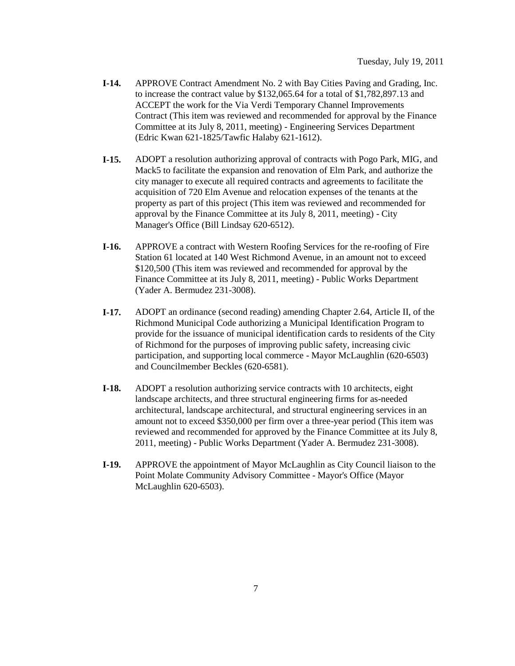- **I-14.** APPROVE Contract Amendment No. 2 with Bay Cities Paving and Grading, Inc. to increase the contract value by \$132,065.64 for a total of \$1,782,897.13 and ACCEPT the work for the Via Verdi Temporary Channel Improvements Contract (This item was reviewed and recommended for approval by the Finance Committee at its July 8, 2011, meeting) - Engineering Services Department (Edric Kwan 621-1825/Tawfic Halaby 621-1612).
- **I-15.** ADOPT a resolution authorizing approval of contracts with Pogo Park, MIG, and Mack5 to facilitate the expansion and renovation of Elm Park, and authorize the city manager to execute all required contracts and agreements to facilitate the acquisition of 720 Elm Avenue and relocation expenses of the tenants at the property as part of this project (This item was reviewed and recommended for approval by the Finance Committee at its July 8, 2011, meeting) - City Manager's Office (Bill Lindsay 620-6512).
- **I-16.** APPROVE a contract with Western Roofing Services for the re-roofing of Fire Station 61 located at 140 West Richmond Avenue, in an amount not to exceed \$120,500 (This item was reviewed and recommended for approval by the Finance Committee at its July 8, 2011, meeting) - Public Works Department (Yader A. Bermudez 231-3008).
- **I-17.** ADOPT an ordinance (second reading) amending Chapter 2.64, Article II, of the Richmond Municipal Code authorizing a Municipal Identification Program to provide for the issuance of municipal identification cards to residents of the City of Richmond for the purposes of improving public safety, increasing civic participation, and supporting local commerce - Mayor McLaughlin (620-6503) and Councilmember Beckles (620-6581).
- **I-18.** ADOPT a resolution authorizing service contracts with 10 architects, eight landscape architects, and three structural engineering firms for as-needed architectural, landscape architectural, and structural engineering services in an amount not to exceed \$350,000 per firm over a three-year period (This item was reviewed and recommended for approved by the Finance Committee at its July 8, 2011, meeting) - Public Works Department (Yader A. Bermudez 231-3008).
- **I-19.** APPROVE the appointment of Mayor McLaughlin as City Council liaison to the Point Molate Community Advisory Committee - Mayor's Office (Mayor McLaughlin 620-6503).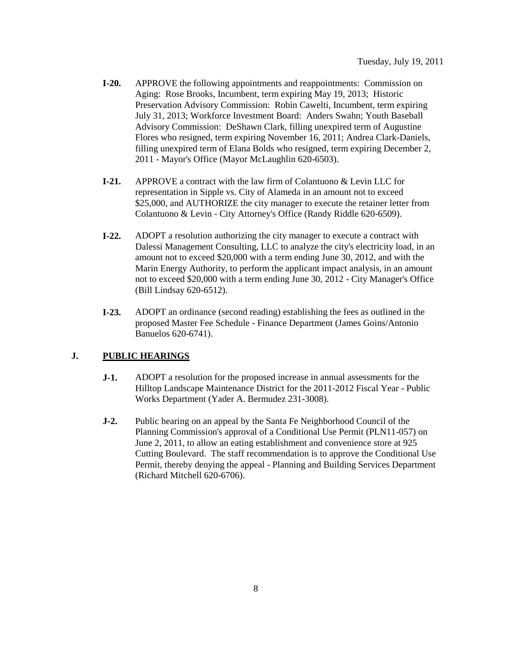- **I-20.** APPROVE the following appointments and reappointments: Commission on Aging: Rose Brooks, Incumbent, term expiring May 19, 2013; Historic Preservation Advisory Commission: Robin Cawelti, Incumbent, term expiring July 31, 2013; Workforce Investment Board: Anders Swahn; Youth Baseball Advisory Commission: DeShawn Clark, filling unexpired term of Augustine Flores who resigned, term expiring November 16, 2011; Andrea Clark-Daniels, filling unexpired term of Elana Bolds who resigned, term expiring December 2, 2011 - Mayor's Office (Mayor McLaughlin 620-6503).
- **I-21.** APPROVE a contract with the law firm of Colantuono & Levin LLC for representation in Sipple vs. City of Alameda in an amount not to exceed \$25,000, and AUTHORIZE the city manager to execute the retainer letter from Colantuono & Levin - City Attorney's Office (Randy Riddle 620-6509).
- **I-22.** ADOPT a resolution authorizing the city manager to execute a contract with Dalessi Management Consulting, LLC to analyze the city's electricity load, in an amount not to exceed \$20,000 with a term ending June 30, 2012, and with the Marin Energy Authority, to perform the applicant impact analysis, in an amount not to exceed \$20,000 with a term ending June 30, 2012 - City Manager's Office (Bill Lindsay 620-6512).
- **I-23.** ADOPT an ordinance (second reading) establishing the fees as outlined in the proposed Master Fee Schedule - Finance Department (James Goins/Antonio Banuelos 620-6741).

### **J. PUBLIC HEARINGS**

- **J-1.** ADOPT a resolution for the proposed increase in annual assessments for the Hilltop Landscape Maintenance District for the 2011-2012 Fiscal Year - Public Works Department (Yader A. Bermudez 231-3008).
- **J-2.** Public hearing on an appeal by the Santa Fe Neighborhood Council of the Planning Commission's approval of a Conditional Use Permit (PLN11-057) on June 2, 2011, to allow an eating establishment and convenience store at 925 Cutting Boulevard. The staff recommendation is to approve the Conditional Use Permit, thereby denying the appeal - Planning and Building Services Department (Richard Mitchell 620-6706).